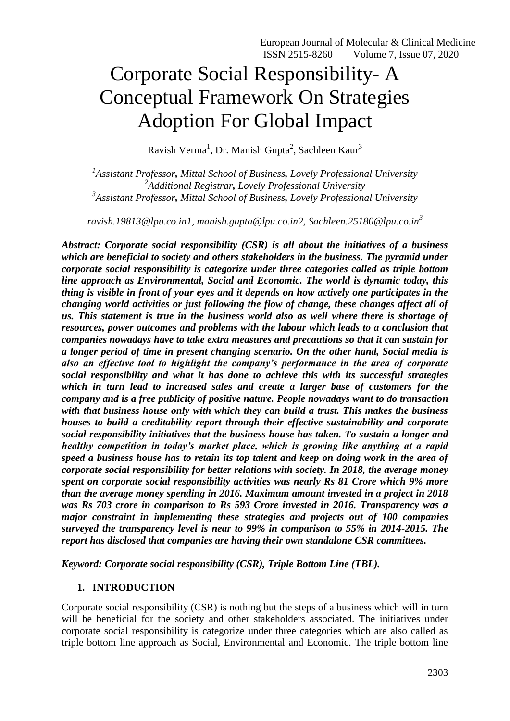# Corporate Social Responsibility- A Conceptual Framework On Strategies Adoption For Global Impact

Ravish Verma<sup>1</sup>, Dr. Manish Gupta<sup>2</sup>, Sachleen Kaur<sup>3</sup>

*1 Assistant Professor, Mittal School of Business, Lovely Professional University 2 Additional Registrar, Lovely Professional University 3 Assistant Professor, Mittal School of Business, Lovely Professional University*

*[ravish.19813@lpu.co.in1,](mailto:ravish.19813@lpu.co.in1) [manish.gupta@lpu.co.in2,](mailto:manish.gupta@lpu.co.in2) Sachleen.25180@lpu.co.in<sup>3</sup>*

*Abstract: Corporate social responsibility (CSR) is all about the initiatives of a business which are beneficial to society and others stakeholders in the business. The pyramid under corporate social responsibility is categorize under three categories called as triple bottom line approach as Environmental, Social and Economic. The world is dynamic today, this thing is visible in front of your eyes and it depends on how actively one participates in the changing world activities or just following the flow of change, these changes affect all of us. This statement is true in the business world also as well where there is shortage of resources, power outcomes and problems with the labour which leads to a conclusion that companies nowadays have to take extra measures and precautions so that it can sustain for a longer period of time in present changing scenario. On the other hand, Social media is also an effective tool to highlight the company's performance in the area of corporate social responsibility and what it has done to achieve this with its successful strategies which in turn lead to increased sales and create a larger base of customers for the company and is a free publicity of positive nature. People nowadays want to do transaction with that business house only with which they can build a trust. This makes the business houses to build a creditability report through their effective sustainability and corporate social responsibility initiatives that the business house has taken. To sustain a longer and healthy competition in today's market place, which is growing like anything at a rapid speed a business house has to retain its top talent and keep on doing work in the area of corporate social responsibility for better relations with society. In 2018, the average money spent on corporate social responsibility activities was nearly Rs 81 Crore which 9% more than the average money spending in 2016. Maximum amount invested in a project in 2018 was Rs 703 crore in comparison to Rs 593 Crore invested in 2016. Transparency was a major constraint in implementing these strategies and projects out of 100 companies surveyed the transparency level is near to 99% in comparison to 55% in 2014-2015. The report has disclosed that companies are having their own standalone CSR committees.*

*Keyword: Corporate social responsibility (CSR), Triple Bottom Line (TBL).*

## **1. INTRODUCTION**

Corporate social responsibility (CSR) is nothing but the steps of a business which will in turn will be beneficial for the society and other stakeholders associated. The initiatives under corporate social responsibility is categorize under three categories which are also called as triple bottom line approach as Social, Environmental and Economic. The triple bottom line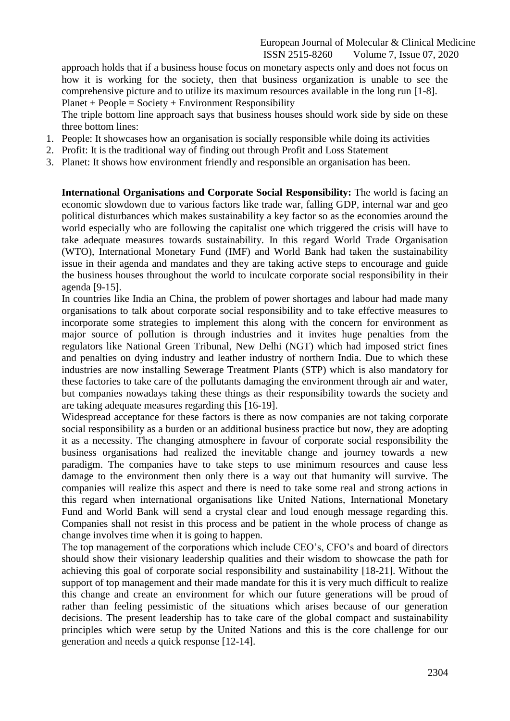approach holds that if a business house focus on monetary aspects only and does not focus on how it is working for the society, then that business organization is unable to see the comprehensive picture and to utilize its maximum resources available in the long run [1-8].  $Planet + People = Society + Environment Responsibility$ 

The triple bottom line approach says that business houses should work side by side on these three bottom lines:

- 1. People: It showcases how an organisation is socially responsible while doing its activities
- 2. Profit: It is the traditional way of finding out through Profit and Loss Statement
- 3. Planet: It shows how environment friendly and responsible an organisation has been.

**International Organisations and Corporate Social Responsibility:** The world is facing an economic slowdown due to various factors like trade war, falling GDP, internal war and geo political disturbances which makes sustainability a key factor so as the economies around the world especially who are following the capitalist one which triggered the crisis will have to take adequate measures towards sustainability. In this regard World Trade Organisation (WTO), International Monetary Fund (IMF) and World Bank had taken the sustainability issue in their agenda and mandates and they are taking active steps to encourage and guide the business houses throughout the world to inculcate corporate social responsibility in their agenda [9-15].

In countries like India an China, the problem of power shortages and labour had made many organisations to talk about corporate social responsibility and to take effective measures to incorporate some strategies to implement this along with the concern for environment as major source of pollution is through industries and it invites huge penalties from the regulators like National Green Tribunal, New Delhi (NGT) which had imposed strict fines and penalties on dying industry and leather industry of northern India. Due to which these industries are now installing Sewerage Treatment Plants (STP) which is also mandatory for these factories to take care of the pollutants damaging the environment through air and water, but companies nowadays taking these things as their responsibility towards the society and are taking adequate measures regarding this [16-19].

Widespread acceptance for these factors is there as now companies are not taking corporate social responsibility as a burden or an additional business practice but now, they are adopting it as a necessity. The changing atmosphere in favour of corporate social responsibility the business organisations had realized the inevitable change and journey towards a new paradigm. The companies have to take steps to use minimum resources and cause less damage to the environment then only there is a way out that humanity will survive. The companies will realize this aspect and there is need to take some real and strong actions in this regard when international organisations like United Nations, International Monetary Fund and World Bank will send a crystal clear and loud enough message regarding this. Companies shall not resist in this process and be patient in the whole process of change as change involves time when it is going to happen.

The top management of the corporations which include CEO's, CFO's and board of directors should show their visionary leadership qualities and their wisdom to showcase the path for achieving this goal of corporate social responsibility and sustainability [18-21]. Without the support of top management and their made mandate for this it is very much difficult to realize this change and create an environment for which our future generations will be proud of rather than feeling pessimistic of the situations which arises because of our generation decisions. The present leadership has to take care of the global compact and sustainability principles which were setup by the United Nations and this is the core challenge for our generation and needs a quick response [12-14].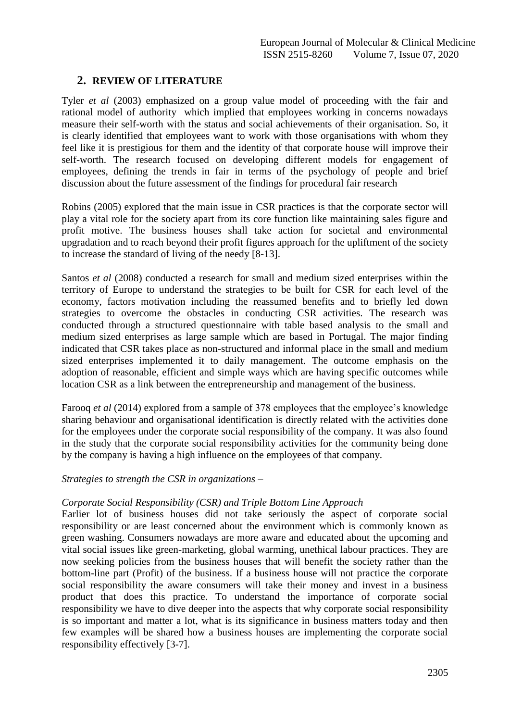# **2. REVIEW OF LITERATURE**

Tyler *et al* (2003) emphasized on a group value model of proceeding with the fair and rational model of authority which implied that employees working in concerns nowadays measure their self-worth with the status and social achievements of their organisation. So, it is clearly identified that employees want to work with those organisations with whom they feel like it is prestigious for them and the identity of that corporate house will improve their self-worth. The research focused on developing different models for engagement of employees, defining the trends in fair in terms of the psychology of people and brief discussion about the future assessment of the findings for procedural fair research

Robins (2005) explored that the main issue in CSR practices is that the corporate sector will play a vital role for the society apart from its core function like maintaining sales figure and profit motive. The business houses shall take action for societal and environmental upgradation and to reach beyond their profit figures approach for the upliftment of the society to increase the standard of living of the needy [8-13].

Santos *et al* (2008) conducted a research for small and medium sized enterprises within the territory of Europe to understand the strategies to be built for CSR for each level of the economy, factors motivation including the reassumed benefits and to briefly led down strategies to overcome the obstacles in conducting CSR activities. The research was conducted through a structured questionnaire with table based analysis to the small and medium sized enterprises as large sample which are based in Portugal. The major finding indicated that CSR takes place as non-structured and informal place in the small and medium sized enterprises implemented it to daily management. The outcome emphasis on the adoption of reasonable, efficient and simple ways which are having specific outcomes while location CSR as a link between the entrepreneurship and management of the business.

Farooq *et al* (2014) explored from a sample of 378 employees that the employee's knowledge sharing behaviour and organisational identification is directly related with the activities done for the employees under the corporate social responsibility of the company. It was also found in the study that the corporate social responsibility activities for the community being done by the company is having a high influence on the employees of that company.

## *Strategies to strength the CSR in organizations –*

## *Corporate Social Responsibility (CSR) and Triple Bottom Line Approach*

Earlier lot of business houses did not take seriously the aspect of corporate social responsibility or are least concerned about the environment which is commonly known as green washing. Consumers nowadays are more aware and educated about the upcoming and vital social issues like green-marketing, global warming, unethical labour practices. They are now seeking policies from the business houses that will benefit the society rather than the bottom-line part (Profit) of the business. If a business house will not practice the corporate social responsibility the aware consumers will take their money and invest in a business product that does this practice. To understand the importance of corporate social responsibility we have to dive deeper into the aspects that why corporate social responsibility is so important and matter a lot, what is its significance in business matters today and then few examples will be shared how a business houses are implementing the corporate social responsibility effectively [3-7].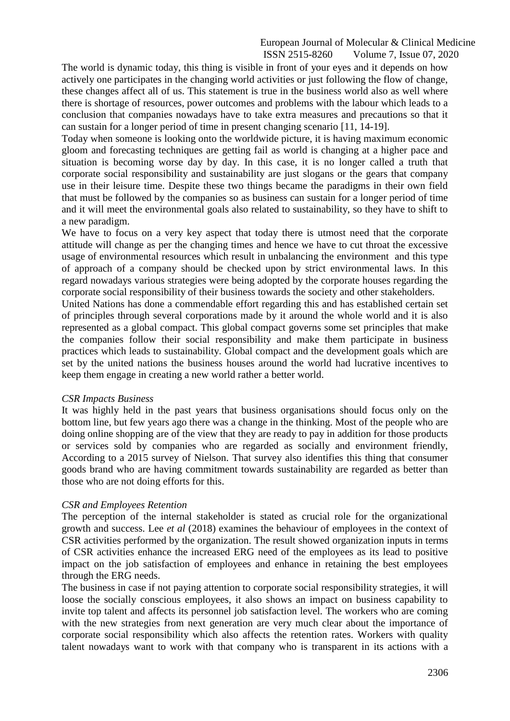The world is dynamic today, this thing is visible in front of your eyes and it depends on how actively one participates in the changing world activities or just following the flow of change, these changes affect all of us. This statement is true in the business world also as well where there is shortage of resources, power outcomes and problems with the labour which leads to a conclusion that companies nowadays have to take extra measures and precautions so that it can sustain for a longer period of time in present changing scenario [11, 14-19].

Today when someone is looking onto the worldwide picture, it is having maximum economic gloom and forecasting techniques are getting fail as world is changing at a higher pace and situation is becoming worse day by day. In this case, it is no longer called a truth that corporate social responsibility and sustainability are just slogans or the gears that company use in their leisure time. Despite these two things became the paradigms in their own field that must be followed by the companies so as business can sustain for a longer period of time and it will meet the environmental goals also related to sustainability, so they have to shift to a new paradigm.

We have to focus on a very key aspect that today there is utmost need that the corporate attitude will change as per the changing times and hence we have to cut throat the excessive usage of environmental resources which result in unbalancing the environment and this type of approach of a company should be checked upon by strict environmental laws. In this regard nowadays various strategies were being adopted by the corporate houses regarding the corporate social responsibility of their business towards the society and other stakeholders.

United Nations has done a commendable effort regarding this and has established certain set of principles through several corporations made by it around the whole world and it is also represented as a global compact. This global compact governs some set principles that make the companies follow their social responsibility and make them participate in business practices which leads to sustainability. Global compact and the development goals which are set by the united nations the business houses around the world had lucrative incentives to keep them engage in creating a new world rather a better world.

### *CSR Impacts Business*

It was highly held in the past years that business organisations should focus only on the bottom line, but few years ago there was a change in the thinking. Most of the people who are doing online shopping are of the view that they are ready to pay in addition for those products or services sold by companies who are regarded as socially and environment friendly, According to a 2015 survey of Nielson. That survey also identifies this thing that consumer goods brand who are having commitment towards sustainability are regarded as better than those who are not doing efforts for this.

## *CSR and Employees Retention*

The perception of the internal stakeholder is stated as crucial role for the organizational growth and success. Lee *et al* (2018) examines the behaviour of employees in the context of CSR activities performed by the organization. The result showed organization inputs in terms of CSR activities enhance the increased ERG need of the employees as its lead to positive impact on the job satisfaction of employees and enhance in retaining the best employees through the ERG needs.

The business in case if not paying attention to corporate social responsibility strategies, it will loose the socially conscious employees, it also shows an impact on business capability to invite top talent and affects its personnel job satisfaction level. The workers who are coming with the new strategies from next generation are very much clear about the importance of corporate social responsibility which also affects the retention rates. Workers with quality talent nowadays want to work with that company who is transparent in its actions with a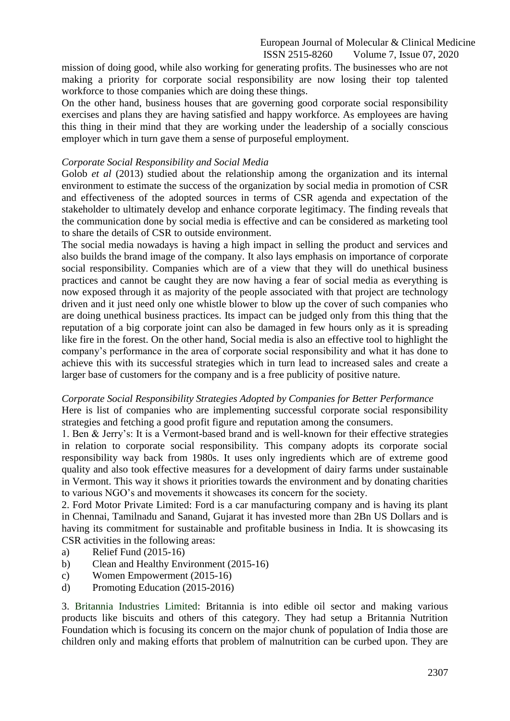mission of doing good, while also working for generating profits. The businesses who are not making a priority for corporate social responsibility are now losing their top talented workforce to those companies which are doing these things.

On the other hand, business houses that are governing good corporate social responsibility exercises and plans they are having satisfied and happy workforce. As employees are having this thing in their mind that they are working under the leadership of a socially conscious employer which in turn gave them a sense of purposeful employment.

## *Corporate Social Responsibility and Social Media*

Golob *et al* (2013) studied about the relationship among the organization and its internal environment to estimate the success of the organization by social media in promotion of CSR and effectiveness of the adopted sources in terms of CSR agenda and expectation of the stakeholder to ultimately develop and enhance corporate legitimacy. The finding reveals that the communication done by social media is effective and can be considered as marketing tool to share the details of CSR to outside environment.

The social media nowadays is having a high impact in selling the product and services and also builds the brand image of the company. It also lays emphasis on importance of corporate social responsibility. Companies which are of a view that they will do unethical business practices and cannot be caught they are now having a fear of social media as everything is now exposed through it as majority of the people associated with that project are technology driven and it just need only one whistle blower to blow up the cover of such companies who are doing unethical business practices. Its impact can be judged only from this thing that the reputation of a big corporate joint can also be damaged in few hours only as it is spreading like fire in the forest. On the other hand, Social media is also an effective tool to highlight the company's performance in the area of corporate social responsibility and what it has done to achieve this with its successful strategies which in turn lead to increased sales and create a larger base of customers for the company and is a free publicity of positive nature.

### *Corporate Social Responsibility Strategies Adopted by Companies for Better Performance*

Here is list of companies who are implementing successful corporate social responsibility strategies and fetching a good profit figure and reputation among the consumers.

1. Ben & Jerry's: It is a Vermont-based brand and is well-known for their effective strategies in relation to corporate social responsibility. This company adopts its corporate social responsibility way back from 1980s. It uses only ingredients which are of extreme good quality and also took effective measures for a development of dairy farms under sustainable in Vermont. This way it shows it priorities towards the environment and by donating charities to various NGO's and movements it showcases its concern for the society.

2. Ford Motor Private Limited: Ford is a car manufacturing company and is having its plant in Chennai, Tamilnadu and Sanand, Gujarat it has invested more than 2Bn US Dollars and is having its commitment for sustainable and profitable business in India. It is showcasing its CSR activities in the following areas:

- a) Relief Fund (2015-16)
- b) Clean and Healthy Environment (2015-16)
- c) Women Empowerment (2015-16)
- d) Promoting Education (2015-2016)

3. Britannia Industries Limited: Britannia is into edible oil sector and making various products like biscuits and others of this category. They had setup a Britannia Nutrition Foundation which is focusing its concern on the major chunk of population of India those are children only and making efforts that problem of malnutrition can be curbed upon. They are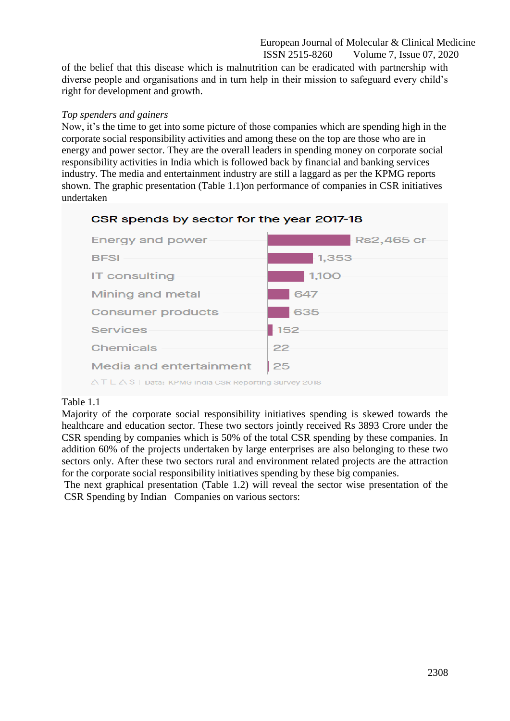of the belief that this disease which is malnutrition can be eradicated with partnership with diverse people and organisations and in turn help in their mission to safeguard every child's right for development and growth.

## *Top spenders and gainers*

Now, it's the time to get into some picture of those companies which are spending high in the corporate social responsibility activities and among these on the top are those who are in energy and power sector. They are the overall leaders in spending money on corporate social responsibility activities in India which is followed back by financial and banking services industry. The media and entertainment industry are still a laggard as per the KPMG reports shown. The graphic presentation (Table 1.1)on performance of companies in CSR initiatives undertaken





## Table 1.1

Majority of the corporate social responsibility initiatives spending is skewed towards the healthcare and education sector. These two sectors jointly received Rs 3893 Crore under the CSR spending by companies which is 50% of the total CSR spending by these companies. In addition 60% of the projects undertaken by large enterprises are also belonging to these two sectors only. After these two sectors rural and environment related projects are the attraction for the corporate social responsibility initiatives spending by these big companies.

The next graphical presentation (Table 1.2) will reveal the sector wise presentation of the CSR Spending by Indian Companies on various sectors: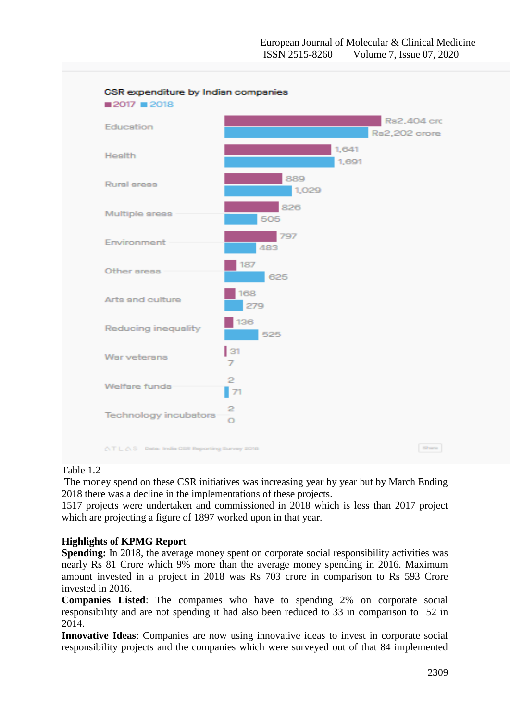

### Table 1.2

The money spend on these CSR initiatives was increasing year by year but by March Ending 2018 there was a decline in the implementations of these projects.

1517 projects were undertaken and commissioned in 2018 which is less than 2017 project which are projecting a figure of 1897 worked upon in that year.

## **Highlights of KPMG Report**

**Spending:** In 2018, the average money spent on corporate social responsibility activities was nearly Rs 81 Crore which 9% more than the average money spending in 2016. Maximum amount invested in a project in 2018 was Rs 703 crore in comparison to Rs 593 Crore invested in 2016.

**Companies Listed**: The companies who have to spending 2% on corporate social responsibility and are not spending it had also been reduced to 33 in comparison to 52 in 2014.

**Innovative Ideas**: Companies are now using innovative ideas to invest in corporate social responsibility projects and the companies which were surveyed out of that 84 implemented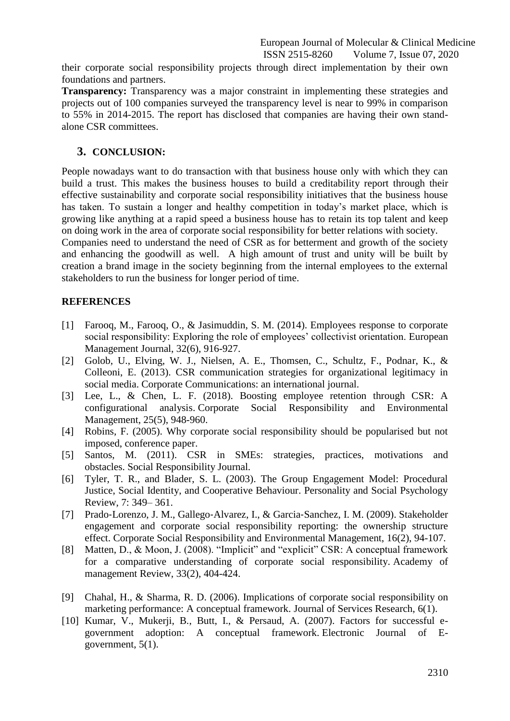their corporate social responsibility projects through direct implementation by their own foundations and partners.

**Transparency:** Transparency was a major constraint in implementing these strategies and projects out of 100 companies surveyed the transparency level is near to 99% in comparison to 55% in 2014-2015. The report has disclosed that companies are having their own standalone CSR committees.

# **3. CONCLUSION:**

People nowadays want to do transaction with that business house only with which they can build a trust. This makes the business houses to build a creditability report through their effective sustainability and corporate social responsibility initiatives that the business house has taken. To sustain a longer and healthy competition in today's market place, which is growing like anything at a rapid speed a business house has to retain its top talent and keep on doing work in the area of corporate social responsibility for better relations with society.

Companies need to understand the need of CSR as for betterment and growth of the society and enhancing the goodwill as well. A high amount of trust and unity will be built by creation a brand image in the society beginning from the internal employees to the external stakeholders to run the business for longer period of time.

## **REFERENCES**

- [1] Farooq, M., Farooq, O., & Jasimuddin, S. M. (2014). Employees response to corporate social responsibility: Exploring the role of employees' collectivist orientation. European Management Journal, 32(6), 916-927.
- [2] Golob, U., Elving, W. J., Nielsen, A. E., Thomsen, C., Schultz, F., Podnar, K., & Colleoni, E. (2013). CSR communication strategies for organizational legitimacy in social media. Corporate Communications: an international journal.
- [3] Lee, L., & Chen, L. F. (2018). Boosting employee retention through CSR: A configurational analysis. Corporate Social Responsibility and Environmental Management, 25(5), 948-960.
- [4] Robins, F. (2005). Why corporate social responsibility should be popularised but not imposed, conference paper.
- [5] Santos, M. (2011). CSR in SMEs: strategies, practices, motivations and obstacles. Social Responsibility Journal.
- [6] Tyler, T. R., and Blader, S. L. (2003). The Group Engagement Model: Procedural Justice, Social Identity, and Cooperative Behaviour. Personality and Social Psychology Review, 7: 349– 361.
- [7] Prado‐Lorenzo, J. M., Gallego‐Alvarez, I., & Garcia‐Sanchez, I. M. (2009). Stakeholder engagement and corporate social responsibility reporting: the ownership structure effect. Corporate Social Responsibility and Environmental Management, 16(2), 94-107.
- [8] Matten, D., & Moon, J. (2008). "Implicit" and "explicit" CSR: A conceptual framework for a comparative understanding of corporate social responsibility. Academy of management Review, 33(2), 404-424.
- [9] Chahal, H., & Sharma, R. D. (2006). Implications of corporate social responsibility on marketing performance: A conceptual framework. Journal of Services Research, 6(1).
- [10] Kumar, V., Mukerji, B., Butt, I., & Persaud, A. (2007). Factors for successful egovernment adoption: A conceptual framework. Electronic Journal of Egovernment, 5(1).